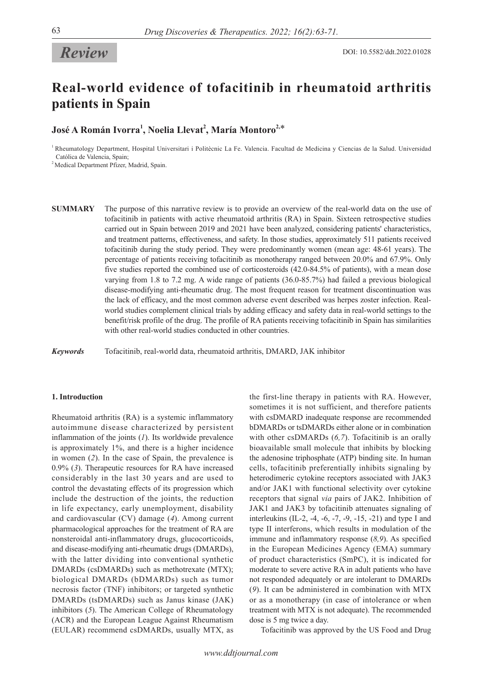# *Review*

# **Real-world evidence of tofacitinib in rheumatoid arthritis patients in Spain**

 $\bf{Jos\'e}$  A Román Ivorra $^1$ , Noelia Llevat $^2$ , María Montoro $^{2,*}$ 

<sup>1</sup> Rheumatology Department, Hospital Universitari i Politècnic La Fe. Valencia. Facultad de Medicina y Ciencias de la Salud. Universidad Católica de Valencia, Spain;

<sup>2</sup> Medical Department Pfizer, Madrid, Spain.

**SUMMARY** The purpose of this narrative review is to provide an overview of the real-world data on the use of tofacitinib in patients with active rheumatoid arthritis (RA) in Spain. Sixteen retrospective studies carried out in Spain between 2019 and 2021 have been analyzed, considering patients' characteristics, and treatment patterns, effectiveness, and safety. In those studies, approximately 511 patients received tofacitinib during the study period. They were predominantly women (mean age: 48-61 years). The percentage of patients receiving tofacitinib as monotherapy ranged between 20.0% and 67.9%. Only five studies reported the combined use of corticosteroids (42.0-84.5% of patients), with a mean dose varying from 1.8 to 7.2 mg. A wide range of patients (36.0-85.7%) had failed a previous biological disease-modifying anti-rheumatic drug. The most frequent reason for treatment discontinuation was the lack of efficacy, and the most common adverse event described was herpes zoster infection. Realworld studies complement clinical trials by adding efficacy and safety data in real-world settings to the benefit/risk profile of the drug. The profile of RA patients receiving tofacitinib in Spain has similarities with other real-world studies conducted in other countries.

*Keywords* Tofacitinib, real-world data, rheumatoid arthritis, DMARD, JAK inhibitor

## **1. Introduction**

Rheumatoid arthritis (RA) is a systemic inflammatory autoimmune disease characterized by persistent inflammation of the joints (*1*). Its worldwide prevalence is approximately 1%, and there is a higher incidence in women (*2*). In the case of Spain, the prevalence is 0.9% (*3*). Therapeutic resources for RA have increased considerably in the last 30 years and are used to control the devastating effects of its progression which include the destruction of the joints, the reduction in life expectancy, early unemployment, disability and cardiovascular (CV) damage (*4*). Among current pharmacological approaches for the treatment of RA are nonsteroidal anti-inflammatory drugs, glucocorticoids, and disease-modifying anti-rheumatic drugs (DMARDs), with the latter dividing into conventional synthetic DMARDs (csDMARDs) such as methotrexate (MTX); biological DMARDs (bDMARDs) such as tumor necrosis factor (TNF) inhibitors; or targeted synthetic DMARDs (tsDMARDs) such as Janus kinase (JAK) inhibitors (*5*). The American College of Rheumatology (ACR) and the European League Against Rheumatism (EULAR) recommend csDMARDs, usually MTX, as

the first-line therapy in patients with RA. However, sometimes it is not sufficient, and therefore patients with csDMARD inadequate response are recommended bDMARDs or tsDMARDs either alone or in combination with other csDMARDs (*6,7*). Tofacitinib is an orally bioavailable small molecule that inhibits by blocking the adenosine triphosphate (ATP) binding site. In human cells, tofacitinib preferentially inhibits signaling by heterodimeric cytokine receptors associated with JAK3 and/or JAK1 with functional selectivity over cytokine receptors that signal *via* pairs of JAK2. Inhibition of JAK1 and JAK3 by tofacitinib attenuates signaling of interleukins (IL-2, -4, -6, -7, -9, -15, -21) and type I and type II interferons, which results in modulation of the immune and inflammatory response (*8,9*). As specified in the European Medicines Agency (EMA) summary of product characteristics (SmPC), it is indicated for moderate to severe active RA in adult patients who have not responded adequately or are intolerant to DMARDs (*9*). It can be administered in combination with MTX or as a monotherapy (in case of intolerance or when treatment with MTX is not adequate). The recommended dose is 5 mg twice a day.

Tofacitinib was approved by the US Food and Drug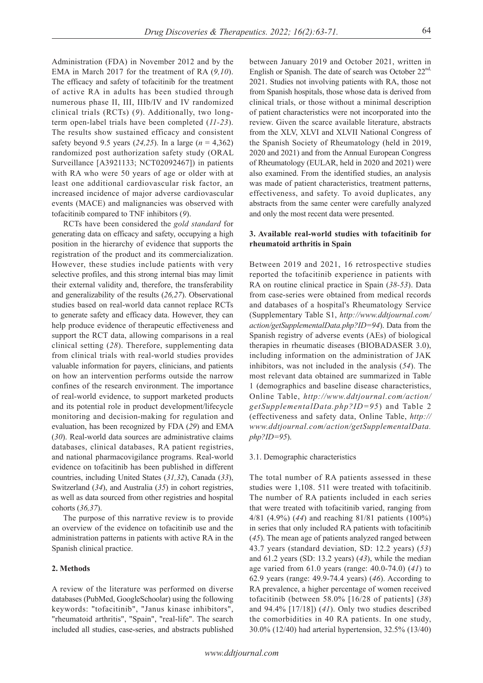Administration (FDA) in November 2012 and by the EMA in March 2017 for the treatment of RA (*9,10*). The efficacy and safety of tofacitinib for the treatment of active RA in adults has been studied through numerous phase II, III, IIIb/IV and IV randomized clinical trials (RCTs) (*9*). Additionally, two longterm open-label trials have been completed (*11-23*). The results show sustained efficacy and consistent safety beyond 9.5 years (*24,25*). In a large (*n* = 4,362) randomized post authorization safety study (ORAL Surveillance [A3921133; NCT02092467]) in patients with RA who were 50 years of age or older with at least one additional cardiovascular risk factor, an increased incidence of major adverse cardiovascular events (MACE) and malignancies was observed with tofacitinib compared to TNF inhibitors (*9*).

RCTs have been considered the *gold standard* for generating data on efficacy and safety, occupying a high position in the hierarchy of evidence that supports the registration of the product and its commercialization. However, these studies include patients with very selective profiles, and this strong internal bias may limit their external validity and, therefore, the transferability and generalizability of the results (*26,27*). Observational studies based on real-world data cannot replace RCTs to generate safety and efficacy data. However, they can help produce evidence of therapeutic effectiveness and support the RCT data, allowing comparisons in a real clinical setting (*28*). Therefore, supplementing data from clinical trials with real-world studies provides valuable information for payers, clinicians, and patients on how an intervention performs outside the narrow confines of the research environment. The importance of real-world evidence, to support marketed products and its potential role in product development/lifecycle monitoring and decision-making for regulation and evaluation, has been recognized by FDA (*29*) and EMA (*30*). Real-world data sources are administrative claims databases, clinical databases, RA patient registries, and national pharmacovigilance programs. Real-world evidence on tofacitinib has been published in different countries, including United States (*31,32*), Canada (*33*), Switzerland (*34*), and Australia (*35*) in cohort registries, as well as data sourced from other registries and hospital cohorts (*36,37*).

The purpose of this narrative review is to provide an overview of the evidence on tofacitinib use and the administration patterns in patients with active RA in the Spanish clinical practice.

## **2. Methods**

A review of the literature was performed on diverse databases (PubMed, GoogleSchoolar) using the following keywords: "tofacitinib", "Janus kinase inhibitors", "rheumatoid arthritis", "Spain", "real-life". The search included all studies, case-series, and abstracts published

between January 2019 and October 2021, written in English or Spanish. The date of search was October 22<sup>nd,</sup> 2021. Studies not involving patients with RA, those not from Spanish hospitals, those whose data is derived from clinical trials, or those without a minimal description of patient characteristics were not incorporated into the review. Given the scarce available literature, abstracts from the XLV, XLVI and XLVII National Congress of the Spanish Society of Rheumatology (held in 2019, 2020 and 2021) and from the Annual European Congress of Rheumatology (EULAR, held in 2020 and 2021) were also examined. From the identified studies, an analysis was made of patient characteristics, treatment patterns, effectiveness, and safety. To avoid duplicates, any abstracts from the same center were carefully analyzed and only the most recent data were presented.

# **3. Available real-world studies with tofacitinib for rheumatoid arthritis in Spain**

Between 2019 and 2021, 16 retrospective studies reported the tofacitinib experience in patients with RA on routine clinical practice in Spain (*38-53*). Data from case-series were obtained from medical records and databases of a hospital's Rheumatology Service (Supplementary Table S1, *http://www.ddtjournal.com/ action/getSupplementalData.php?ID=94*). Data from the Spanish registry of adverse events (AEs) of biological therapies in rheumatic diseases (BIOBADASER 3.0), including information on the administration of JAK inhibitors, was not included in the analysis (*54*). The most relevant data obtained are summarized in Table 1 (demographics and baseline disease characteristics, Online Table, *http://www.ddtjournal.com/action/ getSupplementalData.php?ID=95*) and Table 2 (effectiveness and safety data, Online Table, *http:// www.ddtjournal.com/action/getSupplementalData. php?ID=95*).

## 3.1. Demographic characteristics

The total number of RA patients assessed in these studies were 1,108. 511 were treated with tofacitinib. The number of RA patients included in each series that were treated with tofacitinib varied, ranging from 4/81 (4.9%) (*44*) and reaching 81/81 patients (100%) in series that only included RA patients with tofacitinib (*45*). The mean age of patients analyzed ranged between 43.7 years (standard deviation, SD: 12.2 years) (*53*) and 61.2 years (SD: 13.2 years) (*43*), while the median age varied from 61.0 years (range: 40.0-74.0) (*41*) to 62.9 years (range: 49.9-74.4 years) (*46*). According to RA prevalence, a higher percentage of women received tofacitinib (between 58.0% [16/28 of patients] (*38*) and 94.4% [17/18]) (*41*). Only two studies described the comorbidities in 40 RA patients. In one study, 30.0% (12/40) had arterial hypertension, 32.5% (13/40)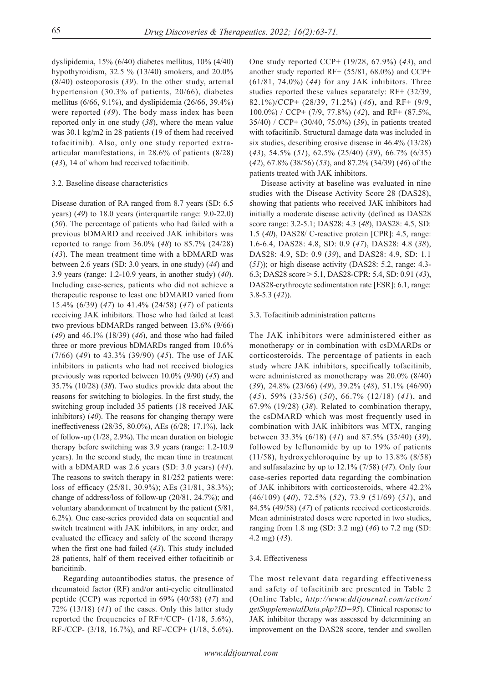dyslipidemia, 15% (6/40) diabetes mellitus, 10% (4/40) hypothyroidism, 32.5 % (13/40) smokers, and 20.0% (8/40) osteoporosis (*39*). In the other study, arterial hypertension (30.3% of patients, 20/66), diabetes mellitus (6/66, 9.1%), and dyslipidemia (26/66, 39.4%) were reported (*49*). The body mass index has been reported only in one study (*38*), where the mean value was 30.1 kg/m2 in 28 patients (19 of them had received tofacitinib). Also, only one study reported extraarticular manifestations, in 28.6% of patients (8/28) (*43*), 14 of whom had received tofacitinib.

## 3.2. Baseline disease characteristics

Disease duration of RA ranged from 8.7 years (SD: 6.5 years) (*49*) to 18.0 years (interquartile range: 9.0-22.0) (*50*). The percentage of patients who had failed with a previous bDMARD and received JAK inhibitors was reported to range from 36.0% (*48*) to 85.7% (24/28) (*43*). The mean treatment time with a bDMARD was between 2.6 years (SD: 3.0 years, in one study) (*44*) and 3.9 years (range: 1.2-10.9 years, in another study) (*40*). Including case-series, patients who did not achieve a therapeutic response to least one bDMARD varied from 15.4% (6/39) (*47*) to 41.4% (24/58) (*47*) of patients receiving JAK inhibitors. Those who had failed at least two previous bDMARDs ranged between 13.6% (9/66) (*49*) and 46.1% (18/39) (*46*), and those who had failed three or more previous bDMARDs ranged from 10.6% (7/66) (*49*) to 43.3% (39/90) (*45*). The use of JAK inhibitors in patients who had not received biologics previously was reported between 10.0% (9/90) (*45*) and 35.7% (10/28) (*38*). Two studies provide data about the reasons for switching to biologics. In the first study, the switching group included 35 patients (18 received JAK inhibitors) (*40*). The reasons for changing therapy were ineffectiveness (28/35, 80.0%), AEs (6/28; 17.1%), lack of follow-up (1/28, 2.9%). The mean duration on biologic therapy before switching was 3.9 years (range: 1.2-10.9 years). In the second study, the mean time in treatment with a bDMARD was 2.6 years (SD: 3.0 years) (*44*). The reasons to switch therapy in 81/252 patients were: loss of efficacy (25/81, 30.9%); AEs (31/81, 38.3%); change of address/loss of follow-up (20/81, 24.7%); and voluntary abandonment of treatment by the patient (5/81, 6.2%). One case-series provided data on sequential and switch treatment with JAK inhibitors, in any order, and evaluated the efficacy and safety of the second therapy when the first one had failed (*43*). This study included 28 patients, half of them received either tofacitinib or baricitinib.

Regarding autoantibodies status, the presence of rheumatoid factor (RF) and/or anti-cyclic citrullinated peptide (CCP) was reported in 69% (40/58) (*47*) and 72% (13/18) (*41*) of the cases. Only this latter study reported the frequencies of RF+/CCP- (1/18, 5.6%), RF-/CCP- (3/18, 16.7%), and RF-/CCP+ (1/18, 5.6%).

One study reported CCP+ (19/28, 67.9%) (*43*), and another study reported RF+ (55/81, 68.0%) and CCP+ (61/81, 74.0%) (*44*) for any JAK inhibitors. Three studies reported these values separately: RF+ (32/39, 82.1%)/CCP+ (28/39, 71.2%) (*46*), and RF+ (9/9, 100.0%) / CCP+ (7/9, 77.8%) (*42*), and RF+ (87.5%, 35/40) / CCP+ (30/40, 75.0%) (*39*), in patients treated with tofacitinib. Structural damage data was included in six studies, describing erosive disease in 46.4% (13/28) (*43*), 54.5% (*51*), 62.5% (25/40) (*39*), 66.7% (6/35) (*42*), 67.8% (38/56) (*53*), and 87.2% (34/39) (*46*) of the patients treated with JAK inhibitors.

Disease activity at baseline was evaluated in nine studies with the Disease Activity Score 28 (DAS28), showing that patients who received JAK inhibitors had initially a moderate disease activity (defined as DAS28 score range: 3.2-5.1; DAS28: 4.3 (*48*), DAS28: 4.5, SD: 1.5 (*40*), DAS28/ C-reactive protein [CPR]: 4.5, range: 1.6-6.4, DAS28: 4.8, SD: 0.9 (*47*), DAS28: 4.8 (*38*), DAS28: 4.9, SD: 0.9 (*39*), and DAS28: 4.9, SD: 1.1 (*51*)); or high disease activity (DAS28: 5.2, range: 4.3- 6.3; DAS28 score > 5.1, DAS28-CPR: 5.4, SD: 0.91 (*43*), DAS28-erythrocyte sedimentation rate [ESR]: 6.1, range: 3.8-5.3 (*42*)).

## 3.3. Tofacitinib administration patterns

The JAK inhibitors were administered either as monotherapy or in combination with csDMARDs or corticosteroids. The percentage of patients in each study where JAK inhibitors, specifically tofacitinib, were administered as monotherapy was 20.0% (8/40) (*39*), 24.8% (23/66) (*49*), 39.2% (*48*), 51.1% (46/90) (*45*), 59% (33/56) (*50*), 66.7% (12/18) (*41*), and 67.9% (19/28) (*38*). Related to combination therapy, the csDMARD which was most frequently used in combination with JAK inhibitors was MTX, ranging between 33.3% (6/18) (*41*) and 87.5% (35/40) (*39*), followed by leflunomide by up to 19% of patients (11/58), hydroxychloroquine by up to 13.8% (8/58) and sulfasalazine by up to 12.1% (7/58) (*47*). Only four case-series reported data regarding the combination of JAK inhibitors with corticosteroids, where 42.2% (46/109) (*40*), 72.5% (*52*), 73.9 (51/69) (*51*), and 84.5% (49/58) (*47*) of patients received corticosteroids. Mean administrated doses were reported in two studies, ranging from 1.8 mg (SD: 3.2 mg) (*46*) to 7.2 mg (SD: 4.2 mg) (*43*).

#### 3.4. Effectiveness

The most relevant data regarding effectiveness and safety of tofacitinib are presented in Table 2 (Online Table, *http://www.ddtjournal.com/action/ getSupplementalData.php?ID=95*). Clinical response to JAK inhibitor therapy was assessed by determining an improvement on the DAS28 score, tender and swollen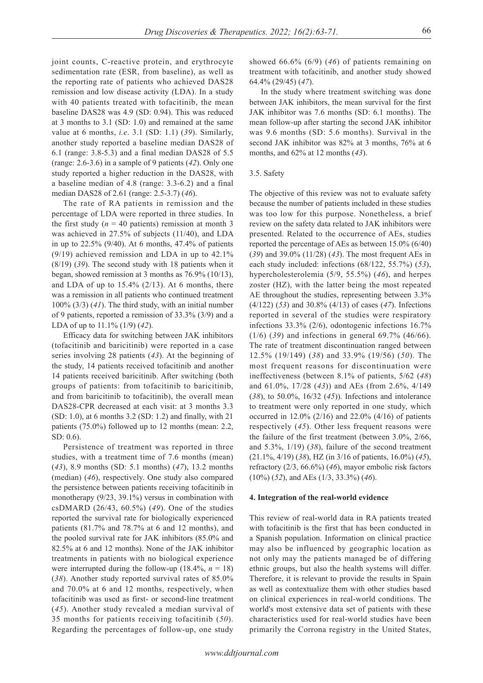joint counts, C-reactive protein, and erythrocyte sedimentation rate (ESR, from baseline), as well as the reporting rate of patients who achieved DAS28 remission and low disease activity (LDA). In a study with 40 patients treated with tofacitinib, the mean baseline DAS28 was 4.9 (SD: 0.94). This was reduced at 3 months to 3.1 (SD: 1.0) and remained at the same value at 6 months, *i.e*. 3.1 (SD: 1.1) (*39*). Similarly, another study reported a baseline median DAS28 of 6.1 (range: 3.8-5.3) and a final median DAS28 of 5.5 (range: 2.6-3.6) in a sample of 9 patients (*42*). Only one study reported a higher reduction in the DAS28, with a baseline median of 4.8 (range: 3.3-6.2) and a final median DAS28 of 2.61 (range: 2.5-3.7) (*46*).

The rate of RA patients in remission and the percentage of LDA were reported in three studies. In the first study ( $n = 40$  patients) remission at month 3 was achieved in 27.5% of subjects (11/40), and LDA in up to 22.5% (9/40). At 6 months, 47.4% of patients (9/19) achieved remission and LDA in up to 42.1% (8/19) (*39*). The second study with 18 patients when it began, showed remission at 3 months as 76.9% (10/13), and LDA of up to  $15.4\%$  (2/13). At 6 months, there was a remission in all patients who continued treatment 100% (3/3) (*41*). The third study, with an initial number of 9 patients, reported a remission of 33.3% (3/9) and a LDA of up to 11.1% (1/9) (*42*).

Efficacy data for switching between JAK inhibitors (tofacitinib and baricitinib) were reported in a case series involving 28 patients (*43*). At the beginning of the study, 14 patients received tofacitinib and another 14 patients received baricitinib. After switching (both groups of patients: from tofacitinib to baricitinib, and from baricitinib to tofacitinib), the overall mean DAS28-CPR decreased at each visit: at 3 months 3.3 (SD: 1.0), at 6 months 3.2 (SD: 1.2) and finally, with 21 patients (75.0%) followed up to 12 months (mean: 2.2, SD: 0.6).

Persistence of treatment was reported in three studies, with a treatment time of 7.6 months (mean) (*43*), 8.9 months (SD: 5.1 months) (*47*), 13.2 months (median) (*46*), respectively. One study also compared the persistence between patients receiving tofacitinib in monotherapy (9/23, 39.1%) versus in combination with csDMARD (26/43, 60.5%) (*49*). One of the studies reported the survival rate for biologically experienced patients (81.7% and 78.7% at 6 and 12 months), and the pooled survival rate for JAK inhibitors (85.0% and 82.5% at 6 and 12 months). None of the JAK inhibitor treatments in patients with no biological experience were interrupted during the follow-up  $(18.4\%, n = 18)$ (*38*). Another study reported survival rates of 85.0% and 70.0% at 6 and 12 months, respectively, when tofacitinib was used as first- or second-line treatment (*45*). Another study revealed a median survival of 35 months for patients receiving tofacitinib (*50*). Regarding the percentages of follow-up, one study showed 66.6% (6/9) (*46*) of patients remaining on treatment with tofacitinib, and another study showed 64.4% (29/45) (*47*).

In the study where treatment switching was done between JAK inhibitors, the mean survival for the first JAK inhibitor was 7.6 months (SD: 6.1 months). The mean follow-up after starting the second JAK inhibitor was 9.6 months (SD: 5.6 months). Survival in the second JAK inhibitor was 82% at 3 months, 76% at 6 months, and 62% at 12 months (*43*).

## 3.5. Safety

The objective of this review was not to evaluate safety because the number of patients included in these studies was too low for this purpose. Nonetheless, a brief review on the safety data related to JAK inhibitors were presented. Related to the occurrence of AEs, studies reported the percentage of AEs as between 15.0% (6/40) (*39*) and 39.0% (11/28) (*43*). The most frequent AEs in each study included: infections (68/122, 55.7%) (*53*), hypercholesterolemia (5/9, 55.5%) (*46*), and herpes zoster (HZ), with the latter being the most repeated AE throughout the studies, representing between 3.3% (4/122) (*53*) and 30.8% (4/13) of cases (*47*). Infections reported in several of the studies were respiratory infections 33.3% (2/6), odontogenic infections 16.7% (1/6) (*39*) and infections in general 69.7% (46/66). The rate of treatment discontinuation ranged between 12.5% (19/149) (*38*) and 33.9% (19/56) (*50*). The most frequent reasons for discontinuation were ineffectiveness (between 8.1% of patients, 5/62 (*48*) and 61.0%, 17/28 (*43*)) and AEs (from 2.6%, 4/149 (*38*), to 50.0%, 16/32 (*45*)). Infections and intolerance to treatment were only reported in one study, which occurred in 12.0% (2/16) and 22.0% (4/16) of patients respectively (*45*). Other less frequent reasons were the failure of the first treatment (between 3.0%, 2/66, and 5.3%, 1/19) (*38*), failure of the second treatment (21.1%, 4/19) (*38*), HZ (in 3/16 of patients, 16.0%) (*45*), refractory (2/3, 66.6%) (*46*), mayor embolic risk factors (10%) (*52*), and AEs (1/3, 33.3%) (*46*).

#### **4. Integration of the real-world evidence**

This review of real-world data in RA patients treated with tofacitinib is the first that has been conducted in a Spanish population. Information on clinical practice may also be influenced by geographic location as not only may the patients managed be of differing ethnic groups, but also the health systems will differ. Therefore, it is relevant to provide the results in Spain as well as contextualize them with other studies based on clinical experiences in real-world conditions. The world's most extensive data set of patients with these characteristics used for real-world studies have been primarily the Corrona registry in the United States,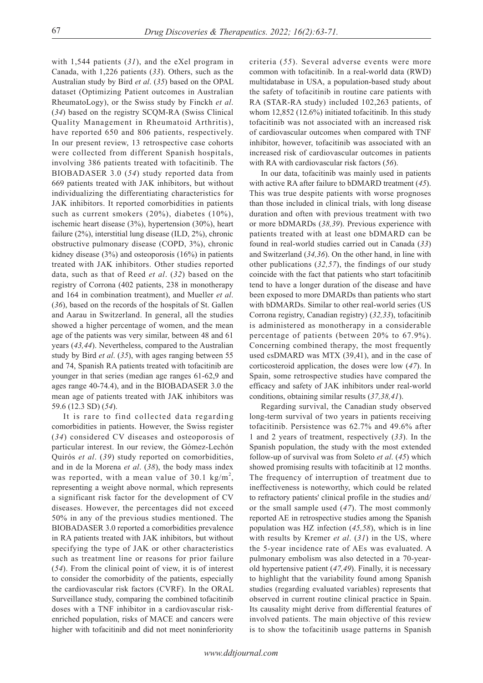with 1,544 patients (*31*), and the eXel program in Canada, with 1,226 patients (*33*). Others, such as the Australian study by Bird *et al*. (*35*) based on the OPAL dataset (Optimizing Patient outcomes in Australian RheumatoLogy), or the Swiss study by Finckh *et al*. (*34*) based on the registry SCQM-RA (Swiss Clinical Quality Management in Rheumatoid Arthritis), have reported 650 and 806 patients, respectively. In our present review, 13 retrospective case cohorts were collected from different Spanish hospitals, involving 386 patients treated with tofacitinib. The BIOBADASER 3.0 (*54*) study reported data from 669 patients treated with JAK inhibitors, but without individualizing the differentiating characteristics for JAK inhibitors. It reported comorbidities in patients such as current smokers (20%), diabetes (10%), ischemic heart disease (3%), hypertension (30%), heart failure (2%), interstitial lung disease (ILD, 2%), chronic obstructive pulmonary disease (COPD, 3%), chronic kidney disease (3%) and osteoporosis (16%) in patients treated with JAK inhibitors. Other studies reported data, such as that of Reed *et al*. (*32*) based on the registry of Corrona (402 patients, 238 in monotherapy and 164 in combination treatment), and Mueller *et al*. (*36*), based on the records of the hospitals of St. Gallen and Aarau in Switzerland. In general, all the studies showed a higher percentage of women, and the mean age of the patients was very similar, between 48 and 61 years (*43,44*). Nevertheless, compared to the Australian study by Bird *et al*. (*35*), with ages ranging between 55 and 74, Spanish RA patients treated with tofacitinib are younger in that series (median age ranges 61-62,9 and ages range 40-74.4), and in the BIOBADASER 3.0 the mean age of patients treated with JAK inhibitors was 59.6 (12.3 SD) (*54*).

It is rare to find collected data regarding comorbidities in patients. However, the Swiss register (*34*) considered CV diseases and osteoporosis of particular interest. In our review, the Gómez-Lechón Quirós *et al*. (*39*) study reported on comorbidities, and in de la Morena *et al*. (*38*), the body mass index was reported, with a mean value of 30.1  $\text{kg/m}^2$ , representing a weight above normal, which represents a significant risk factor for the development of CV diseases. However, the percentages did not exceed 50% in any of the previous studies mentioned. The BIOBADASER 3.0 reported a comorbidities prevalence in RA patients treated with JAK inhibitors, but without specifying the type of JAK or other characteristics such as treatment line or reasons for prior failure (*54*). From the clinical point of view, it is of interest to consider the comorbidity of the patients, especially the cardiovascular risk factors (CVRF). In the ORAL Surveillance study, comparing the combined tofacitinib doses with a TNF inhibitor in a cardiovascular riskenriched population, risks of MACE and cancers were higher with tofacitinib and did not meet noninferiority

criteria (*55*). Several adverse events were more common with tofacitinib. In a real-world data (RWD) multidatabase in USA, a population-based study about the safety of tofacitinib in routine care patients with RA (STAR-RA study) included 102,263 patients, of whom 12,852 (12.6%) initiated tofacitinib. In this study tofacitinib was not associated with an increased risk of cardiovascular outcomes when compared with TNF inhibitor, however, tofacitinib was associated with an increased risk of cardiovascular outcomes in patients with RA with cardiovascular risk factors (*56*).

In our data, tofacitinib was mainly used in patients with active RA after failure to bDMARD treatment (*45*). This was true despite patients with worse prognoses than those included in clinical trials, with long disease duration and often with previous treatment with two or more bDMARDs (*38,39*). Previous experience with patients treated with at least one bDMARD can be found in real-world studies carried out in Canada (*33*) and Switzerland (*34,36*). On the other hand, in line with other publications (*32,57*), the findings of our study coincide with the fact that patients who start tofacitinib tend to have a longer duration of the disease and have been exposed to more DMARDs than patients who start with bDMARDs. Similar to other real-world series (US Corrona registry, Canadian registry) (*32,33*), tofacitinib is administered as monotherapy in a considerable percentage of patients (between 20% to 67.9%). Concerning combined therapy, the most frequently used csDMARD was MTX (39,41), and in the case of corticosteroid application, the doses were low (*47*). In Spain, some retrospective studies have compared the efficacy and safety of JAK inhibitors under real-world conditions, obtaining similar results (*37,38,41*).

Regarding survival, the Canadian study observed long-term survival of two years in patients receiving tofacitinib. Persistence was 62.7% and 49.6% after 1 and 2 years of treatment, respectively (*33*). In the Spanish population, the study with the most extended follow-up of survival was from Soleto *et al*. (*45*) which showed promising results with tofacitinib at 12 months. The frequency of interruption of treatment due to ineffectiveness is noteworthy, which could be related to refractory patients' clinical profile in the studies and/ or the small sample used (*47*). The most commonly reported AE in retrospective studies among the Spanish population was HZ infection (*45,58*), which is in line with results by Kremer *et al*. (*31*) in the US, where the 5-year incidence rate of AEs was evaluated. A pulmonary embolism was also detected in a 70-yearold hypertensive patient (*47,49*). Finally, it is necessary to highlight that the variability found among Spanish studies (regarding evaluated variables) represents that observed in current routine clinical practice in Spain. Its causality might derive from differential features of involved patients. The main objective of this review is to show the tofacitinib usage patterns in Spanish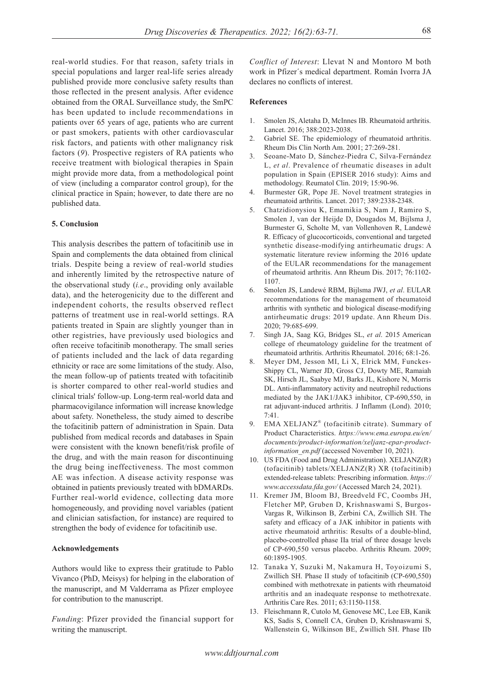real-world studies. For that reason, safety trials in special populations and larger real-life series already published provide more conclusive safety results than those reflected in the present analysis. After evidence obtained from the ORAL Surveillance study, the SmPC has been updated to include recommendations in patients over 65 years of age, patients who are current or past smokers, patients with other cardiovascular risk factors, and patients with other malignancy risk factors (*9*). Prospective registers of RA patients who receive treatment with biological therapies in Spain might provide more data, from a methodological point of view (including a comparator control group), for the clinical practice in Spain; however, to date there are no published data.

### **5. Conclusion**

This analysis describes the pattern of tofacitinib use in Spain and complements the data obtained from clinical trials. Despite being a review of real-world studies and inherently limited by the retrospective nature of the observational study (*i.e*., providing only available data), and the heterogenicity due to the different and independent cohorts, the results observed reflect patterns of treatment use in real-world settings. RA patients treated in Spain are slightly younger than in other registries, have previously used biologics and often receive tofacitinib monotherapy. The small series of patients included and the lack of data regarding ethnicity or race are some limitations of the study. Also, the mean follow-up of patients treated with tofacitinib is shorter compared to other real-world studies and clinical trials' follow-up. Long-term real-world data and pharmacovigilance information will increase knowledge about safety. Nonetheless, the study aimed to describe the tofacitinib pattern of administration in Spain. Data published from medical records and databases in Spain were consistent with the known benefit/risk profile of the drug, and with the main reason for discontinuing the drug being ineffectiveness. The most common AE was infection. A disease activity response was obtained in patients previously treated with bDMARDs. Further real-world evidence, collecting data more homogeneously, and providing novel variables (patient and clinician satisfaction, for instance) are required to strengthen the body of evidence for tofacitinib use.

# **Acknowledgements**

Authors would like to express their gratitude to Pablo Vivanco (PhD, Meisys) for helping in the elaboration of the manuscript, and M Valderrama as Pfizer employee for contribution to the manuscript.

*Funding*: Pfizer provided the financial support for writing the manuscript.

*Conflict of Interest*: Llevat N and Montoro M both work in Pfizer´s medical department. Román Ivorra JA declares no conflicts of interest.

# **References**

- 1. Smolen JS, Aletaha D, McInnes IB. Rheumatoid arthritis. Lancet. 2016; 388:2023-2038.
- 2. Gabriel SE. The epidemiology of rheumatoid arthritis. Rheum Dis Clin North Am. 2001; 27:269-281.
- 3. Seoane-Mato D, Sánchez-Piedra C, Silva-Fernández L, *et al*. Prevalence of rheumatic diseases in adult population in Spain (EPISER 2016 study): Aims and methodology. Reumatol Clin. 2019; 15:90-96.
- 4. Burmester GR, Pope JE. Novel treatment strategies in rheumatoid arthritis. Lancet. 2017; 389:2338-2348.
- 5. Chatzidionysiou K, Emamikia S, Nam J, Ramiro S, Smolen J, van der Heijde D, Dougados M, Bijlsma J, Burmester G, Scholte M, van Vollenhoven R, Landewé R. Efficacy of glucocorticoids, conventional and targeted synthetic disease-modifying antirheumatic drugs: A systematic literature review informing the 2016 update of the EULAR recommendations for the management of rheumatoid arthritis. Ann Rheum Dis. 2017; 76:1102- 1107.
- 6. Smolen JS, Landewé RBM, Bijlsma JWJ, *et al*. EULAR recommendations for the management of rheumatoid arthritis with synthetic and biological disease-modifying antirheumatic drugs: 2019 update. Ann Rheum Dis. 2020; 79:685-699.
- 7. Singh JA, Saag KG, Bridges SL, *et al*. 2015 American college of rheumatology guideline for the treatment of rheumatoid arthritis. Arthritis Rheumatol. 2016; 68:1-26.
- 8. Meyer DM, Jesson MI, Li X, Elrick MM, Funckes-Shippy CL, Warner JD, Gross CJ, Dowty ME, Ramaiah SK, Hirsch JL, Saabye MJ, Barks JL, Kishore N, Morris DL. Anti-inflammatory activity and neutrophil reductions mediated by the JAK1/JAK3 inhibitor, CP-690,550, in rat adjuvant-induced arthritis. J Inflamm (Lond). 2010;  $7:41$
- 9. EMA XELJANZ<sup>®</sup> (tofacitinib citrate). Summary of Product Characteristics. *https://www.ema.europa.eu/en/ documents/product-information/xeljanz-epar-productinformation\_en.pdf* (accessed November 10, 2021).
- 10. US FDA (Food and Drug Administration). XELJANZ(R) (tofacitinib) tablets/XELJANZ(R) XR (tofacitinib) extended-release tablets: Prescribing information. *https:// www.accessdata.fda.gov/* (Accessed March 24, 2021).
- 11. Kremer JM, Bloom BJ, Breedveld FC, Coombs JH, Fletcher MP, Gruben D, Krishnaswami S, Burgos-Vargas R, Wilkinson B, Zerbini CA, Zwillich SH. The safety and efficacy of a JAK inhibitor in patients with active rheumatoid arthritis: Results of a double-blind, placebo-controlled phase IIa trial of three dosage levels of CP-690,550 versus placebo. Arthritis Rheum. 2009; 60:1895-1905.
- 12. Tanaka Y, Suzuki M, Nakamura H, Toyoizumi S, Zwillich SH. Phase II study of tofacitinib (CP-690,550) combined with methotrexate in patients with rheumatoid arthritis and an inadequate response to methotrexate. Arthritis Care Res. 2011; 63:1150-1158.
- 13. Fleischmann R, Cutolo M, Genovese MC, Lee EB, Kanik KS, Sadis S, Connell CA, Gruben D, Krishnaswami S, Wallenstein G, Wilkinson BE, Zwillich SH. Phase IIb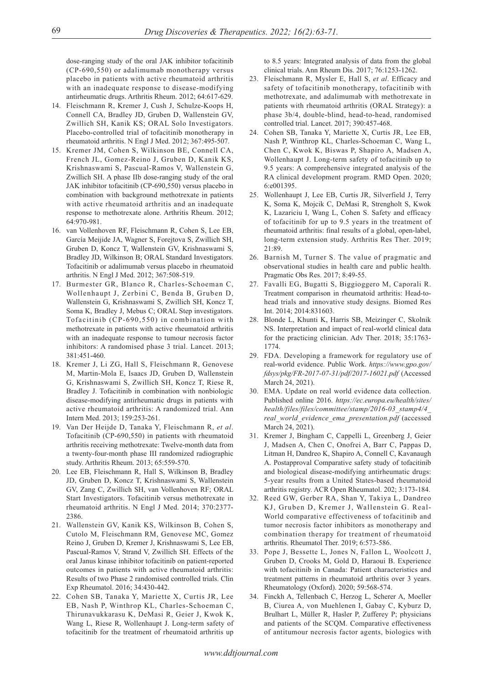dose-ranging study of the oral JAK inhibitor tofacitinib (CP-690,550) or adalimumab monotherapy versus placebo in patients with active rheumatoid arthritis with an inadequate response to disease-modifying antirheumatic drugs. Arthritis Rheum. 2012; 64:617-629.

- 14. Fleischmann R, Kremer J, Cush J, Schulze-Koops H, Connell CA, Bradley JD, Gruben D, Wallenstein GV, Zwillich SH, Kanik KS; ORAL Solo Investigators. Placebo-controlled trial of tofacitinib monotherapy in rheumatoid arthritis. N Engl J Med. 2012; 367:495-507.
- 15. Kremer JM, Cohen S, Wilkinson BE, Connell CA, French JL, Gomez-Reino J, Gruben D, Kanik KS, Krishnaswami S, Pascual-Ramos V, Wallenstein G, Zwillich SH. A phase IIb dose-ranging study of the oral JAK inhibitor tofacitinib (CP-690,550) versus placebo in combination with background methotrexate in patients with active rheumatoid arthritis and an inadequate response to methotrexate alone. Arthritis Rheum. 2012; 64:970-981.
- 16. van Vollenhoven RF, Fleischmann R, Cohen S, Lee EB, García Meijide JA, Wagner S, Forejtova S, Zwillich SH, Gruben D, Koncz T, Wallenstein GV, Krishnaswami S, Bradley JD, Wilkinson B; ORAL Standard Investigators. Tofacitinib or adalimumab versus placebo in rheumatoid arthritis. N Engl J Med. 2012; 367:508-519.
- 17. Burmester GR, Blanco R, Charles-Schoeman C, Wollenhaupt J, Zerbini C, Benda B, Gruben D, Wallenstein G, Krishnaswami S, Zwillich SH, Koncz T, Soma K, Bradley J, Mebus C; ORAL Step investigators. Tofacitinib (CP-690,550) in combination with methotrexate in patients with active rheumatoid arthritis with an inadequate response to tumour necrosis factor inhibitors: A randomised phase 3 trial. Lancet. 2013; 381:451-460.
- 18. Kremer J, Li ZG, Hall S, Fleischmann R, Genovese M, Martin-Mola E, Isaacs JD, Gruben D, Wallenstein G, Krishnaswami S, Zwillich SH, Koncz T, Riese R, Bradley J. Tofacitinib in combination with nonbiologic disease-modifying antirheumatic drugs in patients with active rheumatoid arthritis: A randomized trial. Ann Intern Med. 2013; 159:253-261.
- 19. Van Der Heijde D, Tanaka Y, Fleischmann R, *et al*. Tofacitinib (CP-690,550) in patients with rheumatoid arthritis receiving methotrexate: Twelve-month data from a twenty-four-month phase III randomized radiographic study. Arthritis Rheum. 2013; 65:559-570.
- 20. Lee EB, Fleischmann R, Hall S, Wilkinson B, Bradley JD, Gruben D, Koncz T, Krishnaswami S, Wallenstein GV, Zang C, Zwillich SH, van Vollenhoven RF; ORAL Start Investigators. Tofacitinib versus methotrexate in rheumatoid arthritis. N Engl J Med. 2014; 370:2377- 2386.
- 21. Wallenstein GV, Kanik KS, Wilkinson B, Cohen S, Cutolo M, Fleischmann RM, Genovese MC, Gomez Reino J, Gruben D, Kremer J, Krishnaswami S, Lee EB, Pascual-Ramos V, Strand V, Zwillich SH. Effects of the oral Janus kinase inhibitor tofacitinib on patient-reported outcomes in patients with active rheumatoid arthritis: Results of two Phase 2 randomised controlled trials. Clin Exp Rheumatol. 2016; 34:430-442.
- 22. Cohen SB, Tanaka Y, Mariette X, Curtis JR, Lee EB, Nash P, Winthrop KL, Charles-Schoeman C, Thirunavukkarasu K, DeMasi R, Geier J, Kwok K, Wang L, Riese R, Wollenhaupt J. Long-term safety of tofacitinib for the treatment of rheumatoid arthritis up

to 8.5 years: Integrated analysis of data from the global clinical trials. Ann Rheum Dis. 2017; 76:1253-1262.

- 23. Fleischmann R, Mysler E, Hall S, *et al*. Efficacy and safety of tofacitinib monotherapy, tofacitinib with methotrexate, and adalimumab with methotrexate in patients with rheumatoid arthritis (ORAL Strategy): a phase 3b/4, double-blind, head-to-head, randomised controlled trial. Lancet. 2017; 390:457-468.
- 24. Cohen SB, Tanaka Y, Mariette X, Curtis JR, Lee EB, Nash P, Winthrop KL, Charles-Schoeman C, Wang L, Chen C, Kwok K, Biswas P, Shapiro A, Madsen A, Wollenhaupt J. Long-term safety of tofacitinib up to 9.5 years: A comprehensive integrated analysis of the RA clinical development program. RMD Open. 2020; 6:e001395.
- 25. Wollenhaupt J, Lee EB, Curtis JR, Silverfield J, Terry K, Soma K, Mojcik C, DeMasi R, Strengholt S, Kwok K, Lazariciu I, Wang L, Cohen S. Safety and efficacy of tofacitinib for up to 9.5 years in the treatment of rheumatoid arthritis: final results of a global, open-label, long-term extension study. Arthritis Res Ther. 2019; 21:89.
- 26. Barnish M, Turner S. The value of pragmatic and observational studies in health care and public health. Pragmatic Obs Res. 2017; 8:49-55.
- 27. Favalli EG, Bugatti S, Biggioggero M, Caporali R. Treatment comparison in rheumatoid arthritis: Head-tohead trials and innovative study designs. Biomed Res Int. 2014; 2014:831603.
- 28. Blonde L, Khunti K, Harris SB, Meizinger C, Skolnik NS. Interpretation and impact of real-world clinical data for the practicing clinician. Adv Ther. 2018; 35:1763- 1774.
- 29. FDA. Developing a framework for regulatory use of real-world evidence. Public Work. *https://www.gpo.gov/ fdsys/pkg/FR-2017-07-31/pdf/2017-16021.pdf* (Accessed March 24, 2021).
- 30. EMA. Update on real world evidence data collection. Published online 2016. *https://ec.europa.eu/health/sites/ health/files/files/committee/stamp/2016-03\_stamp4/4\_ real\_world\_evidence\_ema\_presentation.pdf* (accessed March 24, 2021).
- 31. Kremer J, Bingham C, Cappelli L, Greenberg J, Geier J, Madsen A, Chen C, Onofrei A, Barr C, Pappas D, Litman H, Dandreo K, Shapiro A, Connell C, Kavanaugh A. Postapproval Comparative safety study of tofacitinib and biological disease-modifying antirheumatic drugs: 5-year results from a United States-based rheumatoid arthritis registry. ACR Open Rheumatol. 202; 3:173-184.
- 32. Reed GW, Gerber RA, Shan Y, Takiya L, Dandreo KJ, Gruben D, Kremer J, Wallenstein G. Real-World comparative effectiveness of tofacitinib and tumor necrosis factor inhibitors as monotherapy and combination therapy for treatment of rheumatoid arthritis. Rheumatol Ther. 2019; 6:573-586.
- 33. Pope J, Bessette L, Jones N, Fallon L, Woolcott J, Gruben D, Crooks M, Gold D, Haraoui B. Experience with tofacitinib in Canada: Patient characteristics and treatment patterns in rheumatoid arthritis over 3 years. Rheumatology (Oxford). 2020; 59:568-574.
- 34. Finckh A, Tellenbach C, Herzog L, Scherer A, Moeller B, Ciurea A, von Muehlenen I, Gabay C, Kyburz D, Brulhart L, Müller R, Hasler P, Zufferey P; physicians and patients of the SCQM. Comparative effectiveness of antitumour necrosis factor agents, biologics with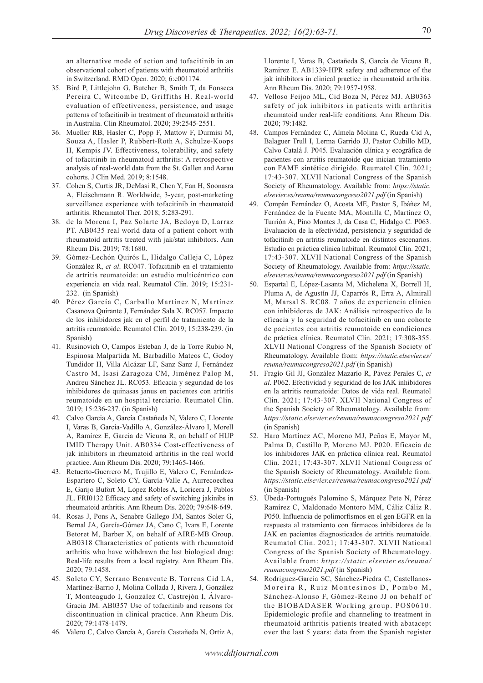an alternative mode of action and tofacitinib in an observational cohort of patients with rheumatoid arthritis in Switzerland. RMD Open. 2020; 6:e001174.

- 35. Bird P, Littlejohn G, Butcher B, Smith T, da Fonseca Pereira C, Witcombe D, Griffiths H. Real-world evaluation of effectiveness, persistence, and usage patterns of tofacitinib in treatment of rheumatoid arthritis in Australia. Clin Rheumatol. 2020; 39:2545-2551.
- 36. Mueller RB, Hasler C, Popp F, Mattow F, Durmisi M, Souza A, Hasler P, Rubbert-Roth A, Schulze-Koops H, Kempis JV. Effectiveness, tolerability, and safety of tofacitinib in rheumatoid arthritis: A retrospective analysis of real-world data from the St. Gallen and Aarau cohorts. J Clin Med. 2019; 8:1548.
- 37. Cohen S, Curtis JR, DeMasi R, Chen Y, Fan H, Soonasra A, Fleischmann R. Worldwide, 3-year, post-marketing surveillance experience with tofacitinib in rheumatoid arthritis. Rheumatol Ther. 2018; 5:283-291.
- 38. de la Morena I, Paz Solarte JA, Bedoya D, Larraz PT. AB0435 real world data of a patient cohort with rheumatoid artritis treated with jak/stat inhibitors. Ann Rheum Dis. 2019; 78:1680.
- 39. Gómez-Lechón Quirós L, Hidalgo Calleja C, López González R, *et al*. RC047. Tofacitinib en el tratamiento de artritis reumatoide: un estudio multicéntrico con experiencia en vida real. Reumatol Clin. 2019; 15:231- 232. (in Spanish)
- 40. Pérez García C, Carballo Martínez N, Martínez Casanova Quirante J, Fernández Sala X. RC057. Impacto de los inhibidores jak en el perfil de tratamiento de la artritis reumatoide. Reumatol Clin. 2019; 15:238-239. (in Spanish)
- 41. Rusinovich O, Campos Esteban J, de la Torre Rubio N, Espinosa Malpartida M, Barbadillo Mateos C, Godoy Tundidor H, Villa Alcázar LF, Sanz Sanz J, Fernández Castro M, Isasi Zaragoza CM, Jiménez Palop M, Andreu Sánchez JL. RC053. Eficacia y seguridad de los inhibidores de quinasas janus en pacientes con artritis reumatoide en un hospital terciario. Reumatol Clin. 2019; 15:236-237. (in Spanish)
- 42. Calvo Garcia A, García Castañeda N, Valero C, Llorente I, Varas B, García-Vadillo A, González-Álvaro I, Morell A, Ramírez E, Garcia de Vicuna R, on behalf of HUP IMID Therapy Unit. AB0334 Cost-effectiveness of jak inhibitors in rheumatoid arthritis in the real world practice. Ann Rheum Dis. 2020; 79:1465-1466.
- 43. Retuerto-Guerrero M, Trujillo E, Valero C, Fernández-Espartero C, Soleto CY, García-Valle A, Aurrecoechea E, Garijo Bufort M, López Robles A, Loricera J, Pablos JL. FRI0132 Efficacy and safety of switching jakinibs in rheumatoid arthritis. Ann Rheum Dis. 2020; 79:648-649.
- 44. Rosas J, Pons A, Senabre Gallego JM, Santos Soler G, Bernal JA, García-Gómez JA, Cano C, Ivars E, Lorente Betoret M, Barber X, on behalf of AIRE-MB Group. AB0318 Characteristics of patients with rheumatoid arthritis who have withdrawn the last biological drug: Real-life results from a local registry. Ann Rheum Dis. 2020; 79:1458.
- 45. Soleto CY, Serrano Benavente B, Torrens Cid LA, Martínez-Barrio J, Molina Collada J, Rivera J, González T, Monteagudo I, González C, Castrejón I, Álvaro-Gracia JM. AB0357 Use of tofacitinib and reasons for discontinuation in clinical practice. Ann Rheum Dis. 2020; 79:1478-1479.
- 46. Valero C, Calvo García A, García Castañeda N, Ortiz A,

Llorente I, Varas B, Castañeda S, García de Vicuna R, Ramirez E. AB1339-HPR safety and adherence of the jak inhibitors in clinical practice in rheumatoid arthritis. Ann Rheum Dis. 2020; 79:1957-1958.

- 47. Velloso Feijoo ML, Cid Boza N, Pérez MJ. AB0363 safety of jak inhibitors in patients with arthritis rheumatoid under real-life conditions. Ann Rheum Dis. 2020; 79:1482.
- 48. Campos Fernández C, Almela Molina C, Rueda Cid A, Balaguer Trull I, Lerma Garrido JJ, Pastor Cubillo MD, Calvo Catalá J. P045. Evaluación clínica y ecográfica de pacientes con artritis reumatoide que inician tratamiento con FAME sintético dirigido. Reumatol Clin. 2021; 17:43-307. XLVII National Congress of the Spanish Society of Rheumatology. Available from: *https://static. elsevier.es/reuma/reumacongreso2021.pdf* (in Spanish)
- 49. Compán Fernández O, Acosta ME, Pastor S, Ibáñez M, Fernández de la Fuente MA, Montilla C, Martínez O, Turrión A, Pino Montes J, da Casa C, Hidalgo C. P063. Evaluación de la efectividad, persistencia y seguridad de tofacitinib en artritis reumatoide en distintos escenarios. Estudio en práctica clínica habitual. Reumatol Clin. 2021; 17:43-307. XLVII National Congress of the Spanish Society of Rheumatology. Available from: *https://static. elsevier.es/reuma/reumacongreso2021.pdf* (in Spanish)
- 50. Espartal E, López-Lasanta M, Michelena X, Borrell H, Pluma A, de Agustín JJ, Caparrós R, Erra A, Almirall M, Marsal S. RC08. 7 años de experiencia clínica con inhibidores de JAK: Análisis retrospectivo de la eficacia y la seguridad de tofacitinib en una cohorte de pacientes con artritis reumatoide en condiciones de práctica clínica. Reumatol Clin. 2021; 17:308-355. XLVII National Congress of the Spanish Society of Rheumatology. Available from: *https://static.elsevier.es/ reuma/reumacongreso2021.pdf* (in Spanish)
- 51. Fragío Gil JJ, González Mazarío R, Pávez Perales C, *et al*. P062. Efectividad y seguridad de los JAK inhibidores en la artritis reumatoide: Datos de vida real. Reumatol Clin. 2021; 17:43-307. XLVII National Congress of the Spanish Society of Rheumatology. Available from: *https://static.elsevier.es/reuma/reumacongreso2021.pdf*  (in Spanish)
- 52. Haro Martínez AC, Moreno MJ, Peñas E, Mayor M, Palma D, Castillo P, Moreno MJ. P020. Eficacia de los inhibidores JAK en práctica clínica real. Reumatol Clin. 2021; 17:43-307. XLVII National Congress of the Spanish Society of Rheumatology. Available from: *https://static.elsevier.es/reuma/reumacongreso2021.pdf*  (in Spanish)
- 53. Úbeda-Portugués Palomino S, Márquez Pete N, Pérez Ramírez C, Maldonado Montoro MM, Cáliz Cáliz R. P050. Influencia de polimorfismos en el gen EGFR en la respuesta al tratamiento con fármacos inhibidores de la JAK en pacientes diagnosticados de artritis reumatoide. Reumatol Clin. 2021; 17:43-307. XLVII National Congress of the Spanish Society of Rheumatology. Available from: *https://static.elsevier.es/reuma/ reumacongreso2021.pdf* (in Spanish)
- 54. Rodriguez-García SC, Sánchez-Piedra C, Castellanos-Moreira R, Ruiz Montesinos D, Pombo M, Sánchez-Alonso F, Gómez-Reino JJ on behalf of the BIOBADASER Working group. POS0610. Epidemiologic profile and channeling to treatment in rheumatoid arthritis patients treated with abatacept over the last 5 years: data from the Spanish register